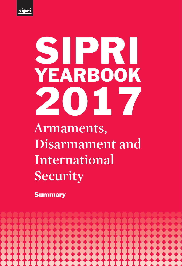

# **Armaments, Disarmament and International Security** SIPRI YEARBOOK 2017

**Summary** 

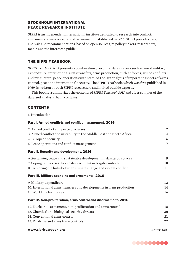# STOCKHOLM INTERNATIONAL PEACE RESEARCH INSTITUTE

SIPRI is an independent international institute dedicated to research into conflict, armaments, arms control and disarmament. Established in 1966, SIPRI provides data, analysis and recommendations, based on open sources, to policymakers, researchers, media and the interested public.

# THE SIPRI YEARBOOK

*SIPRI Yearbook 2017* presents a combination of original data in areas such as world military expenditure, international arms transfers, arms production, nuclear forces, armed conflicts and multilateral peace operations with state-of-the-art analysis of important aspects of arms control, peace and international security. The SIPRI Yearbook, which was first published in 1969, is written by both SIPRI researchers and invited outside experts.

This booklet summarizes the contents of *SIPRI Yearbook 2017* and gives samples of the data and analysis that it contains.

# **CONTENTS**

| 1. Introduction                                                       | 1              |
|-----------------------------------------------------------------------|----------------|
| Part I. Armed conflicts and conflict management, 2016                 |                |
| 2. Armed conflict and peace processes                                 | 2              |
| 3. Armed conflict and instability in the Middle East and North Africa | $\overline{4}$ |
| 4. European security                                                  | 6              |
| 5. Peace operations and conflict management                           | 7              |
| Part II. Security and development, 2016                               |                |
| 6. Sustaining peace and sustainable development in dangerous places   | 9              |
| 7. Coping with crises: forced displacement in fragile contexts        | 10             |
| 8. Exploring the links between climate change and violent conflict    | 11             |
| Part III. Military spending and armaments, 2016                       |                |
| 9. Military expenditure                                               | 12             |
| 10. International arms transfers and developments in arms production  | 14             |
| 11. World nuclear forces                                              | 16             |
| Part IV. Non-proliferation, arms control and disarmament, 2016        |                |
| 12. Nuclear disarmament, non-proliferation and arms control           | 18             |
| 13. Chemical and biological security threats                          | 20             |
| 14. Conventional arms control                                         | 21             |
| 15. Dual-use and arms trade controls                                  | 22             |
| www.sipriyearbook.org                                                 | © SIPRI 2017   |

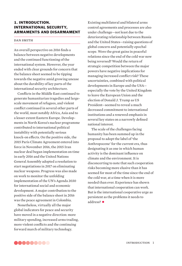# 1. INTRODUCTION. INTERNATIONAL SECURITY, ARMAMENTS AND DISARMAMENT

#### DAN SMITH

An overall perspective on 2016 finds a balance between negative developments and the continued functioning of the international system. However, the year ended with clear grounds for concern that the balance sheet seemed to be tipping towards the negative amid growing unease about the durability of key parts of the international security architecture.

Conflicts in the Middle East continued to generate humanitarian tragedies and largescale movement of refugees, and violent conflict continued in several other parts of the world, most notably Africa, Asia and to a lesser extent Eastern Europe. Developments in North Korea's nuclear programme contributed to international political instability with potentially serious knock-on effects. On the positive side, the 2015 Paris Climate Agreement entered into force in November 2016, the 2015 Iran nuclear deal began implementation on time in early 2016 and the United Nations General Assembly adopted a resolution to start negotiations in 2017 on eliminating nuclear weapons. Progress was also made on work to monitor the unfolding implementation of the UN's Agenda 2030 for international social and economic development. A major contribution to the positive side of the balance sheet in 2016 was the peace agreement in Colombia.

Nonetheless, virtually all the major global indicators for peace and security have moved in a negative direction: more military spending, increased arms trading, more violent conflicts and the continuing forward march of military technology.

Existing multilateral and bilateral arms control agreements and processes are also under challenge—not least due to the deteriorating relationship between Russia and the United States—raising questions of global concern and potentially epochal scope. Were the great gains in peaceful relations since the end of the cold war now being reversed? Would the return of strategic competition between the major powers have negative implications for managing increased conflict risk? These uncertainties, combined with political developments in Europe and the USA especially the vote by the United Kingdom to leave the European Union and the election of Donald J. Trump as US President—seemed to reveal a much decreased commitment to international institutions and a renewed emphasis in several key states on a narrowly defined national interest.

The scale of the challenges facing humanity has been summed up in the proposal to adopt the label of 'the Anthropocene' for the current era, thus designating it as one in which human activity is the dominant influence on climate and the environment. It is disconcerting to note that such cooperation risks becoming more elusive than it has seemed for most of the time since the end of the cold war, at a time when it is more needed than ever. Experience has shown that international cooperation can work. But is the international cooperative urge as persistent as the problems it needs to address? •

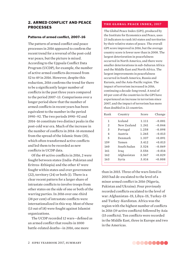# 2. ARMED CONFLICT AND PEACE PROCESSES

#### Patterns of armed conflict, 2007-16

The pattern of armed conflict and peace processes in 2016 appeared to confirm the recent trend for a reversal of the post-cold war peace, but the picture is mixed. According to the Uppsala Conflict Data Program (UCDP), for example, the number of active armed conflicts decreased from 52 to 49 in 2016. However, despite this reduction, 2016 confirms the trend for there to be a significantly larger number of conflicts in the past three years compared to the period 2007–13. Comparisons over a longer period show that the number of armed conflicts in recent years has been equivalent to the number in the period 1990–92. The two periods 1990–92 and 2014–16 constitute two distinct peaks in the post-cold war era. Much of the increase in the number of conflicts in 2014-16 stemmed from the spread of the Islamic State (IS), which often transformed active conflicts and led them to be recorded as new conflicts in UCDP data

Of the 49 active conflicts in 2016, 2 were fought between states (India–Pakistan and Eritrea–Ethiopia) and the other 47 were fought within states and over government (22), territory (24) or both (1). There is a clear recent pattern for a larger share of intrastate conflicts to involve troops from other states on the side of one or both of the warring parties. In 2016 over one-third (38 per cent) of intrastate conflicts were internationalized in this way. Most of these (13 out of 18) were fought against Islamist organizations.

The UCDP recorded 12 wars-defined as an armed conflict that results in 1000 battle-related deaths—in 2016, one more

#### **the global peace index, 2017**

The Global Peace Index (GPI), produced by the Institute for Economics and Peace, uses 23 indicators to rank 163 states and territories by their relative states of peace. The overall GPI score improved in 2016, but the average country score is lower now than in 2008. The largest deterioration in peacefulness occurred in North America, and there were smaller deteriorations in sub-Saharan Africa and the Middle East and North Africa. The largest improvements in peacefulness occurred in South America, Russia and Eurasia, and the Asia-Pacific region. The impact of terrorism increased in 2016, continuing a decade-long trend. A total of 60 per cent of the countries in the GPI have experienced an increase in terrorism since 2007, and the impact of terrorism has more than doubled in 22 countries.

| Rank           | Country        | Score | Change   |
|----------------|----------------|-------|----------|
| 1              | <b>Iceland</b> | 1.111 | $-0.081$ |
| $\mathfrak{D}$ | New Zealand    | 1.241 | $-0.044$ |
| 3              | Portugal       | 1.258 | $-0.098$ |
| $\overline{4}$ | Austria        | 1.265 | $-0.013$ |
| 5              | Denmark        | 1.337 | $+0.091$ |
| 159            | Yemen          | 3.412 | $+0.013$ |
| 160            | South Sudan    | 3.524 | $-0.069$ |
| 161            | Iraq           | 3.556 | $-0.014$ |
| 162            | Afghanistan    | 3.567 | $+0.029$ |
| 163            | Syria          | 3.814 | $+0.008$ |

than in 2015. Three of the wars listed in 2015 had de-escalated to the level of a minor armed conflict in 2016 (Nigeria, Pakistan and Ukraine). Four previously recorded conflicts escalated to the level of war: Afghanistan–IS, Libya–IS, Turkey–IS and Turkey–Kurdistan. Africa was the region with the highest number of conflicts in 2016 (19 active conflicts) followed by Asia (15 conflicts). Ten conflicts were recorded in the Middle East, three in Europe and two in the Americas.

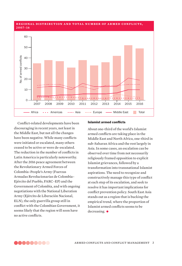#### **REGIONAL DISTRIBUTION AND TOTAL NUMBER OF ARMED CONFLICTS. 2007–16**



Conflict-related developments have been discouraging in recent years, not least in the Middle East, but not all the changes have been negative. While many conflicts were initiated or escalated, many others ceased to be active or were de-escalated. The reduction in the number of conflicts in Latin America is particularly noteworthy. After the 2016 peace agreement between the Revolutionary Armed Forces of Colombia–People's Army (Fuerzas Armadas Revolucionarias de Colombia– Ejército del Pueblo, FARC–EP) and the Government of Colombia, and with ongoing negotiations with the National Liberation Army (Ejército de Liberación Nacional, ELN), the only guerrilla group still in conflict with the Colombian Government, it seems likely that the region will soon have no active conflicts.

#### **Islamist armed conflicts**

About one-third of the world's Islamist armed conflicts are taking place in the Middle East and North Africa, one-third in sub-Saharan Africa and the rest largely in Asia. In some cases, an escalation can be observed over time from not necessarily religiously framed opposition to explicit Islamist grievances, followed by a transformation into transnational Islamist aspirations. The need to recognize and constructively manage this type of conflict at each step of its escalation, and seek to resolve it has important implications for conflict prevention policy. South East Asia stands out as a region that is bucking the empirical trend, where the proportion of Islamist armed conflicts seems to be decreasing.  $\bullet$ 

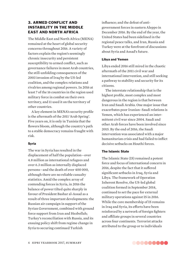# 3. ARMED CONFLICT AND INSTABILITY IN THE MIDDLE EAST AND NORTH AFRICA

The Middle East and North Africa (MENA) remained at the heart of global security concerns throughout 2016. A variety of factors explain the region's seemingly chronic insecurity and persistent susceptibility to armed conflict, such as governance failures in most Arab countries, the still-unfolding consequences of the 2003 invasion of Iraq by the US-led coalition, and the complex relations and rivalries among regional powers. In 2016 at least 7 of the 16 countries in the region used military force in combat on their own territory, and 11 used it on the territory of other countries.

A key element in MENA's security profile is the aftermath of the 2011 'Arab Spring'. Five years on, it is only in Tunisia that the flowers bloom, although the country's path to a stable democracy remains fraught with risk.

#### **Syria**

The war in Syria has resulted in the displacement of half the population—over 4.8 million as international refugees and over 6.3 million as internally displaced persons—and the death of over 400 000, although there are no reliable casualty statistics. Amid the complex array of contending forces in Syria, in 2016 the balance of power tilted quite sharply in favour of President Bashar al-Assad as a result of three important developments: the Russian air campaign in support of the Syrian Government, combined with ground force support from Iran and Hezbollah; Turkey's reconciliation with Russia, and its ensuing policy shift from regime change in Syria to securing continued Turkish

influence; and the defeat of antigovernment forces in eastern Aleppo in December 2016. By the end of the year, the United States had been sidelined in the regional peace talks, and Iran, Russia and Turkey were at the forefront of discussions about Syria and Assad's future.

#### Libya and Yemen

Libya ended 2016 still mired in the chaotic aftermath of the 2011 civil war and international intervention, and still seeking a pathway to stability and security for its citizens.

The interstate relationship that is the highest profile, most complex and most dangerous in the region is that between Iran and Saudi Arabia. One major issue that exacerbates poor Iranian–Saudi relations is Yemen, which has experienced an intermittent civil war since 2004. Saudi and other Arab forces have been involved since 2015. By the end of 2016, the Saudi intervention was associated with a major humanitarian crisis and had failed to inflict decisive setbacks on Houthi forces.

#### The Islamic State

The Islamic State (IS) remained a potent force and focus of international concern in 2016, despite the fact that it suffered significant setbacks in Iraq, Syria and Libya. The framework of Operation Inherent Resolve, the US-led global coalition formed in September 2014, continued to set the pace for external military operations against IS in 2016. While the core membership of IS remains in Iraq and Syria, its efforts have been reinforced by a network of foreign fighters and affiliate groups in several countries across four continents. Terrorist attacks attributed to the group or to individuals

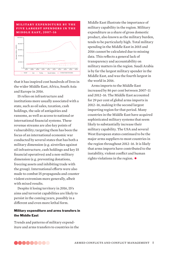

that it has inspired cost hundreds of lives in the wider Middle East, Africa, South Asia and Europe in 2016.

IS relies on infrastructure and institutions more usually associated with a state, such as oil sales, taxation, cash holdings, the sale of antiquities and ransoms, as well as access to national or international financial systems. These revenue streams are also key points of vulnerability; targeting them has been the focus of an international economic war conducted by several states that has both a military dimension (e.g. airstrikes against oil infrastructure, cash holdings and key IS financial operatives) and a non-military dimension (e.g. preventing donations, freezing assets and inhibiting trade with the group). International efforts were also made to combat IS propaganda and counter violent extremism more generally, albeit with mixed results.

Despite it losing territory in 2016, IS's aims and terrorist capabilities are likely to persist in the coming years, possibly in a different and even more lethal form.

#### Military expenditure and arms transfers in the Middle East

Trends and patterns of military expenditure and arms transfers to countries in the Middle East illustrate the importance of military capability in the region. Military expenditure as a share of gross domestic product, also known as the military burden, tends to be particularly high. Total military spending in the Middle East in 2015 and 2016 cannot be calculated due to missing data. This reflects a general lack of transparency and accountability on military matters in the region. Saudi Arabia is by far the largest military spender in the Middle East, and was the fourth largest in the world in 2016.

Arms imports to the Middle East increased by 86 per cent between 2007–11 and 2012–16. The Middle East accounted for 29 per cent of global arms imports in 2012–16, making it the second largest importing region for that period. Many countries in the Middle East have acquired sophisticated military systems that seem likely to substantially increase their military capability. The USA and several West European states continued to be the major arms suppliers to most countries in the region throughout 2012–16. It is likely that arms imports have contributed to the instability, violent conflict and human rights violations in the region.  $\bullet$ 

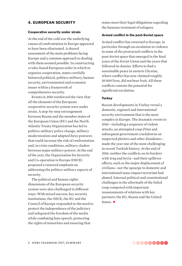## 4. EUROPEAN SECURITY

#### Cooperative security under strain

At the end of the cold war the underlying causes of confrontation in Europe appeared to have been eliminated. A shared assessment of the main problems facing Europe and a common approach to dealing with them seemed possible. In constructing a rules-based European order in which to organize cooperation, states carefully balanced political, politico-military, human security, environmental and economic issues within a framework of comprehensive security.

Events in 2016 reinforced the view that all the elements of the European cooperative security system were under strain. A step-by-step estrangement between Russia and the member states of the European Union (EU) and the North Atlantic Treaty Organization has led to politico-military policy change, military modernization and adapted force postures that could increase the risk of confrontation and, in crisis conditions, military clashes between major military powers. At the end of the year, the Organization for Security and Co-operation in Europe (OSCE) proposed a renewed emphasis on addressing the politico-military aspects of security.

The political and human rights dimensions of the European security system were also challenged in different ways. With mixed success, key security institutions, the OSCE, the EU and the Council of Europe responded to the need to protect the independence of the judiciary and safeguard the freedom of the media while combating hate speech, protecting the rights of minorities and ensuring that

states meet their legal obligations regarding the humane treatment of refugees.

#### Armed conflict in the post-Soviet space

Armed conflict has returned to Europe, in particular through an escalation in violence in some of the protracted conflicts in the post-Soviet space that emerged in the final years of the Soviet Union and the years that followed its demise. Efforts to find a sustainable peace in eastern Ukraine, where conflict has now claimed roughly 10 000 lives, did not bear fruit. All these conflicts contain the potential for significant escalation.

#### **Turkey**

Recent developments in Turkey reveal a domestic, regional and international security environment that is the most complex in Europe. The dramatic events in 2016—including a sequence of violent attacks, an attempted *coup d'état* and subsequent government crackdowns on suspected plotters and other dissidents made the year one of the most challenging in recent Turkish history. At the end of 2016, neither the conflicts on its borders with Iraq and Syria—and their spillover effects, such as the major displacement of civilians—nor the upsurge in domestic and international mass-impact terrorism had abated. Internal political and constitutional challenges in the aftermath of the failed coup competed with important reassessments of relations with key partners: the EU, Russia and the United States.  $\bullet$ 

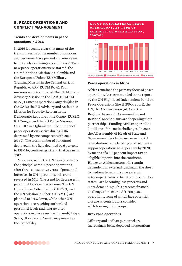# 5. PEACE OPERATIONS AND CONFLICT MANAGEMENT

# Trends and developments in peace operations in 2016

In 2016 it became clear that many of the trends in terms of the number of missions and personnel have peaked and now seem to be slowly declining or levelling out. Two new peace operations were started: the United Nations Mission in Colombia and the European Union (EU) Military Training Mission in the Central African Republic (CAR) (EUTM RCA). Four missions were terminated: the EU Military Advisory Mission in the CAR (EUMAM RCA); France's Operation Sangaris (also in the CAR); the EU Advisory and Assistance Mission for Security Reform in the Democratic Republic of the Congo (EUSEC RD Congo); and the EU Police Mission (EUPOL) in Afghanistan. The number of peace operations active during 2016 decreased by one compared with 2015 (to 62). The total number of personnel deployed in the field declined by 6 per cent to 153 056, continuing a trend that began in 2012.

Moreover, while the UN clearly remains the principal actor in peace operations, after three consecutive years of personnel increases in UN operations, this trend reversed in 2016. The trend for decreases in personnel looks set to continue. The UN Operation in Côte d'Ivoire (UNOCI) and the UN Mission in Liberia (UNMIL) are planned to drawdown, while other UN operations are reaching authorized personnel levels and long-awaited operations in places such as Burundi, Libya, Syria, Ukraine and Yemen may never see the light of day.



#### Peace operations in Africa

Africa remained the primary focus of peace operations. As recommended in the report by the UN High-level Independent Panel on Peace Operations (the HIPPO report), the UN, the African Union (AU) and the Regional Economic Communities and Regional Mechanisms are deepening their partnerships. Funding African operations is still one of the main challenges. In 2016 the AU Assembly of Heads of State and Government decided to increase the AU contribution to the funding of all AU peace support operations to 25 per cent by 2020, by means of a 0.2 per cent import tax on 'eligible imports' into the continent. However, African actors will remain dependent on external funding in the short to medium term, and some external actors—particularly the EU and its member states—are becoming less generous and more demanding. This presents financial challenges for several African peace operations, some of which face potential closure as contributors consider withdrawing their troops.

#### Grey zone operations

Military and civilian personnel are increasingly being deployed in operations

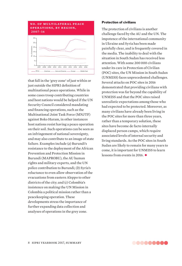

that fall in the 'grey zone' of just within or just outside the SIPRI definition of multinational peace operations. While in some cases troop contributing countries and host nations would be helped if the UN Security Council considered mandating and financing operations, such as the Multinational Joint Task Force (MNJTF) against Boko Haram, in other instances host nations resist having a peace operation on their soil. Such operations can be seen as an infringement of national sovereignty, and may also contribute to an image of state failure. Examples include (*a*) Burundi's resistance to the deployment of the African Prevention and Protection Mission in Burundi (MAPROBU), the AU human rights and military experts, and the UN police contribution to Burundi; (*b*) Syria's reluctance to even allow observation of the evacuations from eastern Aleppo to other districts of the city; and (*c*) Colombia's insistence on making the UN Mission in Colombia a political mission rather than a peacekeeping operation. These developments stress the importance of further expanding data collection and analyses of operations in the grey zone.

#### Protection of civilians

The protection of civilians is another challenge faced by the AU and the UN. The impotence of the international community in Ukraine and Syria has been made painfully clear, and is frequently covered in the media. The inability to deal with the situation in South Sudan has received less attention. With some 200 000 civilians under its care in Protection of Civilian (POC) sites, the UN Mission in South Sudan (UNMISS) faces unprecedented challenges. Several attacks on POC sites in 2016 demonstrated that providing civilians with protection was far beyond the capability of UNMISS and that the POC sites raised unrealistic expectations among those who had expected to be protected. Moreover, as many civilians have already been living in the POC sites for more than three years, rather than a temporary solution, these sites have become de facto internally displaced person camps, which require associated levels of internal security and living standards. As the POC sites in South Sudan are likely to remain for many years to come, it is important for UNMISS to learn lessons from events in 2016. •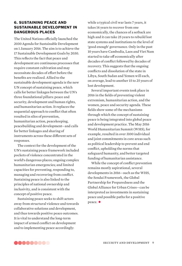# 6. SUSTAINING PEACE AND SUSTAINABLE DEVELOPMENT IN DANGEROUS PLACES

The United Nations officially launched the 2030 Agenda for Sustainable Development on 1 January 2016. The aim is to achieve the 17 Sustainable Development Goals by 2030. This reflects the fact that peace and development are continuous processes that require constant cultivation and may necessitate decades of effort before the benefits are realized. Allied to the sustainable development agenda is the new UN concept of sustaining peace, which calls for better linkages between the UN's three foundational pillars: peace and security, development and human rights, and humanitarian action. It replaces the sequential approach to conflict that often resulted in silos of prevention, humanitarian action, peacekeeping, peacebuilding and development—and calls for better linkages and sharing of instruments across these different sets of responses.

The context for the development of the UN's sustaining peace framework included pockets of violence concentrated in the world's dangerous places; ongoing complex humanitarian emergencies; and limited capacities for preventing, responding to, managing and recovering from conflict. Sustaining peace is also linked to the principles of national ownership and inclusivity, and is consistent with the concept of positive peace.

Sustaining peace seeks to shift actors away from structural violence and towards collaborative solutions and development, and thus towards positive peace outcomes. It is vital to understand the long-term impact of armed conflict on development and to implementing peace accordingly:

while a typical civil war lasts 7 years, it takes 14 years to recover from one economically, the chances of a setback are high and it can take 25 years to rebuild lost state systems and institutions to the level of 'good enough' governance. Only in the past 10 years have Cambodia, Laos and Viet Nam started to take off economically after decades of conflict followed by decades of recovery. This suggests that the ongoing confl icts and dissolution of the state in Libya, South Sudan and Yemen will each, on average, lead to another 15 to 25 years of lost development.

Several important events took place in 2016 in the fields of preventing violent extremism, humanitarian action, and the women, peace and security agenda. These fields show some of the mechanisms through which the concept of sustaining peace is being integrated into global peace and development practice. The May 2016 World Humanitarian Summit (WHS), for example, resulted in over 3100 individual and joint commitments in core areas such as political leadership to prevent and end conflict, upholding the norms that safeguard humanity, and better targeted funding of humanitarian assistance.

While the concept of conflict prevention remains mostly aspirational, several developments in 2016—such as the WHS, the Sendai Framework, the Global Partnership for Preparedness and the Global Alliance for Urban Crises—can be interpreted as investments in sustaining peace and possible paths for a positive peace.  $\bullet$ 

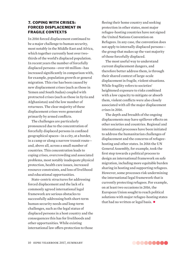# 7. COPING WITH CRISES: FORCED DISPLACEMENT IN FRAGILE CONTEXTS

In 2016 forced displacement continued to be a major challenge to human security, most notably in the Middle East and Africa, which together currently host over twothirds of the world's displaced population. In recent years the number of forcefully displaced persons—over 60 million—has increased significantly in comparison with, for example, population growth or general migration. This rise has been caused by new displacement crises (such as those in Yemen and South Sudan) coupled with protracted crises (such as those in Syria and Afghanistan) and the low number of returnees. The clear majority of these displacement crises were generated primarily by armed conflicts.

The challenges are particularly pronounced due to the concentration of forcefully displaced persons in confined geographical spaces—in a city, at a border, in a camp or along a narrow transit route and, above all, across a small number of countries. This concentration leads to coping crises, overcrowding and associated problems, most notably inadequate physical protection, health care issues, increased resource constraints, and loss of livelihood and educational opportunities.

State-centric structures for addressing forced displacement and the lack of a commonly agreed international legal framework are serious obstacles to successfully addressing both short-term human security needs and long-term challenges, such as the legal status of displaced persons in a host country and the consequences this has for livelihoods and other opportunities. While existing international law offers protection to those fleeing their home country and seeking protection in other states, most major refugee-hosting countries have not signed the United Nations Convention on Refugees. In any case, the convention does not apply to internally displaced persons the group that makes up the vast majority of those forcefully displaced.

The most useful way to understand current displacement dangers, and therefore better address them, is through their shared context of large-scale displacement in fragile, violent situations. While fragility refers to societies' heightened exposure to risks combined with a low capacity to mitigate or absorb them, violent conflicts were also closely associated with all the major displacement crises in 2016.

The depth and breadth of the ongoing displacements may have spillover effects on other societies and countries. Regional and international processes have been initiated to address the humanitarian challenges of displacement and the concerns of refugeehosting and other states. In 2016 the UN General Assembly, for example, took the first step towards a political process to design an international framework on safe migration, including more equitable burden sharing in hosting and supporting refugees. However, some processes risk undermining the international legal framework that is currently protecting refugees. For example, on at least two occasions in 2016, the European Union sought to reach political solutions with major refugee-hosting states that had no written or legal basis.  $\bullet$ 

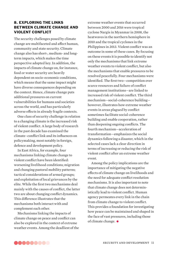# 8. EXPLORING THE LINKS BETWEEN CLIMATE CHANGE AND VIOLENT CONFLICT

The security challenges posed by climate change are multifaceted and affect human, community and state security. Climate change also has short-, medium- and longterm impacts, which makes the time perspective adopted key. In addition, the impacts of climate change on, for instance, food or water security are heavily dependent on socio-economic conditions, which means that the same impact might have diverse consequences depending on the context. Hence, climate change puts additional pressures on current vulnerabilities for humans and societies across the world, and has particularly adverse effects in already fragile contexts.

One class of security challenge in relation to a changing climate is the increased risk of violent conflict. A large body of research in the past decade has examined the climate–conflict link and its influences on policymaking, most notably in foreign, defence and development policy.

In East Africa, for example, four mechanisms linking climate change to violent conflict have been identified: worsening livelihood conditions; migration and changing pastoral mobility patterns; tactical considerations of armed groups; and exploitation of local grievances by the elite. While the first two mechanisms deal mainly with the causes of conflict, the latter two are about changing conflict dynamics. This difference illustrates that the mechanisms both interact with and complement each other.

Mechanisms linking the impacts of climate change on peace and conflict can also be explored in the context of extreme weather events. Among the deadliest of the extreme weather events that occurred between 2000 and 2016 were tropical cyclone Nargis in Myanmar in 2008, the heatwaves in the northern hemisphere in 2010 and the tropical cyclones in the Philippines in 2013. Violent conflict was an outcome in some of these cases. By focusing on these events it is possible to identify not only the mechanisms that link extreme weather events to violent conflict, but also the mechanisms that enable pressures to be resolved peacefully. Four mechanisms were identified. The first two-competition over scarce resources and failure of conflict management institutions—are linked to increased risk of violent conflict. The third mechanism—social-coherence building however, illustrates how extreme weather events in areas plagued by conflict sometimes facilitate social-coherence building and enable cooperation, rather than deepening ongoing conflicts. The fourth mechanism—acceleration of transformation—emphasizes the social dynamics following a disaster, which in the selected cases lack a clear direction in terms of increasing or reducing the risk of violent conflict after an extreme weather event.

Among the policy implications are the importance of mitigating the negative effects of climate change on livelihoods and the need for adequate conflict resolution mechanisms. It is also important to note that climate change does not deterministically lead to violent conflict. Human agency permeates every link in the chain from climate change to violent conflict. This provides a foundation for investigating how peace can be maintained and shaped in the face of vast pressures, including those of climate change. •

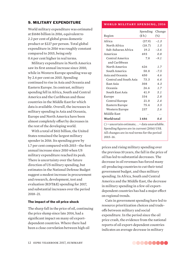# 9. MILITARY EXPENDITURE

World military expenditure was estimated at \$1686 billion in 2016, equivalent to 2.2 per cent of global gross domestic product or \$227 per person. Total global expenditure in 2016 was roughly constant compared to 2015, being only 0.4 per cent higher in real terms.

Military expenditure in North America saw its first annual increase since 2010, while in Western Europe spending was up by 2.6 per cent on 2015. Spending continued to rise in Asia and Oceania and Eastern Europe. In contrast, military spending fell in Africa, South and Central America and the Caribbean and those countries in the Middle East for which data is available. Overall, the increases in military spending in Asia and Oceania, Europe and North America have been almost completely offset by decreases in the rest of the developing world.

With a total of \$611 billion, the United States remained the largest military spender in 2016. Its spending grew by 1.7 per cent compared with 2015-the first annual increase since 2010 when US military expenditure reached its peak. There is uncertainty over the future direction of US military spending, but estimates in the National Defense Budget suggest a modest increase in procurement and research, development, test and evaluation (RDT&E) spending for 2017, and substantial increases over the period 2018–21.

#### The impact of the oil price shock

The sharp fall in the price of oil, continuing the price slump since late 2014, had a significant impact on many oil exportdependent countries. Where there had been a close correlation between high oil

#### **world military spending, 2016**

|                                                                 | Spending | Change |
|-----------------------------------------------------------------|----------|--------|
| Region                                                          | (\$b.)   | $(\%)$ |
| Africa                                                          | (37.9)   | $-1.3$ |
| North Africa                                                    | (18.7)   | 1.5    |
| Sub-Saharan Africa                                              | 19.2     | $-3.6$ |
| Americas                                                        | 693      | 0.8    |
| Central America                                                 | 7.8      | $-9.1$ |
| and Caribbean                                                   |          |        |
| North America                                                   | 626      | 1.7    |
| South America                                                   | 58.8     | $-7.5$ |
| Asia and Oceania                                                | 450      | 4.6    |
| Central and South Asia                                          | 73.3     | 6.4    |
| East Asia                                                       | 308      | 4.3    |
| Oceania                                                         | 26.6     | 1.7    |
| South East Asia                                                 | 41.9     | 5.1    |
| Europe                                                          | 334      | 2.8    |
| Central Europe                                                  | 21.0     | 2.4    |
| Eastern Europe                                                  | 75.4     | 3.5    |
| Western Europe                                                  | 237      | 2.6    |
| Middle East                                                     | . .      | . .    |
| <b>World total</b>                                              | 1686     | 0.4    |
| $()$ = uncertain estimate; = data unavailable.<br>$\frac{1}{2}$ |          |        |

Spending figures are in current (2016) US\$. All changes are in real terms for the period 2015–16.

prices and rising military spending over the previous 10 years, the fall in the price of oil has led to substantial decreases. The decrease in oil revenues has forced many oil-producing countries to cut their total government budget, and thus military spending. In Africa, South and Central America and the Middle East, the decrease in military spending in a few oil exportdependent countries has had a major effect on regional trends.

Cuts in government spending have led to resource prioritization choices and tradeoffs between military and social expenditure. In the period since the oil price crash, the evidence from the national reports of oil export-dependent countries indicates an average decrease in military

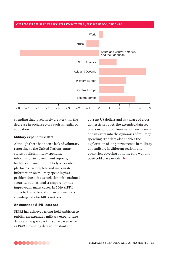

spending that is relatively greater than the decrease in social sectors such as health or education.

#### Military expenditure data

Although there has been a lack of voluntary reporting to the United Nations, many states publish military spending information in government reports, in budgets and on other publicly accessible platforms. Incomplete and inaccurate information on military spending is a problem due to its association with national security, but national transparency has improved in many cases. In 2016 SIPRI collected reliable and consistent military spending data for 148 countries.

#### An expanded SIPRI data set

SIPRI has achieved a long-held ambition to publish an expanded military expenditure data set that goes back in some cases as far as 1949. Providing data in constant and

current US dollars and as a share of gross domestic product, the extended data set offers major opportunities for new research and insights into the dynamics of military spending. The data also enables the exploration of long-term trends in military expenditure in different regions and countries, covering both the cold war and post-cold war periods. •

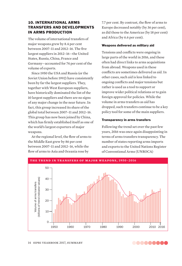# 10. INTERNATIONAL ARMS TRANSFERS AND DEVELOPMENTS IN ARMS PRODUCTION

The volume of international transfers of major weapons grew by 8.4 per cent between 2007–11 and 2012–16. The five largest suppliers in 2012–16—the United States, Russia, China, France and Germany—accounted for 74 per cent of the volume of exports.

Since 1950 the USA and Russia (or the Soviet Union before 1992) have consistently been by far the largest suppliers. They, together with West European suppliers, have historically dominated the list of the 10 largest suppliers and there are no signs of any major change in the near future. In fact, this group increased its share of the global total between 2007–11 and 2012–16. This group has now been joined by China, which has firmly established itself as one of the world's largest exporters of major weapons.

At the regional level, the flow of arms to the Middle East grew by 86 per cent between 2007–11 and 2012–16, while the flow of arms to Asia and Oceania rose by

7.7 per cent. By contrast, the flow of arms to Europe decreased notably (by 36 per cent), as did those to the Americas (by 18 per cent) and Africa (by 6.6 per cent).

#### Weapons delivered as military aid

Tensions and conflicts were ongoing in large parts of the world in 2016, and these often had direct links to arms acquisitions from abroad. Weapons used in these confl icts are sometimes delivered as aid. In other cases, such aid is less linked to ongoing conflicts and major tensions but rather is used as a tool to support or improve wider political relations or to gain foreign approval for policies. While the volume in arms transfers as aid has dropped, such transfers continue to be a key policy tool for some of the main suppliers.

#### Transparency in arms transfers

Following the trend set over the past few years, 2016 was once again disappointing in terms of arms transfers transparency. The number of states reporting arms imports and exports to the United Nations Register of Conventional Arms (UNROCA)



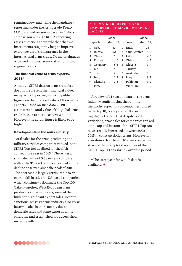remained low, and while the mandatory reporting under the Arms trade Treaty (ATT) started reasonably well in 2016, a comparison with UNROCA reporting raises questions about whether the two instruments can jointly help to improve overall levels of transparency in the international arms trade. No major changes occurred in transparency at national and regional levels.

#### The financial value of arms exports, 2015\*

Although SIPRI data on arms transfers does not represent their financial value, many arms exporting states do publish figures on the financial value of their arms exports. Based on such data, SIPRI estimates the total value of the global arms trade in 2015 to be at least \$91.3 billion. However, the actual figure is likely to be higher.

#### Developments in the arms industry

Total sales for the arms-producing and military services companies ranked in the SIPRI Top 100 declined for the fifth consecutive year in 2015.\* There was a slight decrease of 0.6 per cent compared with 2014. This is the lowest level of annual decline observed since the peak of 2010. The decrease is largely attributable to an overall fall in sales for US-based companies, which continue to dominate the Top 100. Taken together, West European arms producers show increases, some of them linked to significant export sales. Despite sanctions, Russia's arms industry also grew its arms sales in 2015, mostly due to domestic sales and some exports, while emerging and established producers show mixed results.

#### **THE MAIN EXPORTERS AND IMPORTERS OF MAJOR WEAPONS. 2012–16**

|   | Exporter  | Global<br>share (%) Importer |                |              | Global<br>share $(\%)$ |
|---|-----------|------------------------------|----------------|--------------|------------------------|
| 1 | USA       | 33                           | 1              | India        | 13                     |
| 2 | Russia    | 23                           | $\mathfrak{D}$ | Saudi Arabia | 8.2                    |
| 3 | China     | 6.2                          | 3              | <b>IJAE</b>  | 4.6                    |
| 4 | France    | 6.0                          | 4              | China        | 4.5                    |
| 5 | Germany   | 5.6                          |                | 5 Algeria    | 3.7                    |
| 6 | UК        | 4.6                          |                | 6 Turkey     | 3.3                    |
| 7 | Spain     | 2.8                          | 7              | Australia    | 3.3                    |
| 8 | Italy     | 2.7                          | 8              | Iraq         | 3.2                    |
| 9 | Ukraine   | 2.6                          | 9              | Pakistan     | 3.2                    |
|   | 10 Israel | 2.3                          |                | 10 Viet Nam  | 3.0                    |

A review of 14 years of data on the arms industry confirms that the ranking hierarchy, especially of companies ranked in the top 10, is very stable. It also highlights the fact that despite yearly variations, arms sales for companies ranked at the top and bottom of the SIPRI Top 100 have steadily increased between 2002 and 2015 in constant dollar terms. However, it also shows that the top 10 arms companies' share of the yearly total revenues of the SIPRI Top 100 has shrunk over the period.

\*The latest year for which data is available. •

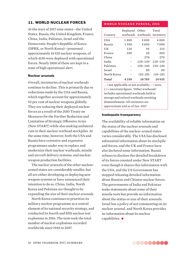# 11. WORLD NUCLEAR FORCES

At the start of 2017 nine states—the United States, Russia, the United Kingdom, France, China, India, Pakistan, Israel and the Democratic People's Republic of Korea (DPRK, or North Korea)—possessed approximately 14 935 nuclear weapons, of which 4150 were deployed with operational forces. Nearly 1800 of these are kept in a state of high operational alert.

#### Nuclear arsenals

Overall, inventories of nuclear warheads continue to decline. This is primarily due to reductions made by the USA and Russia, which together account for approximately 92 per cent of nuclear weapons globally. They are reducing their deployed nuclear forces as a result of the 2010 Treaty on Measures for the Further Reduction and Limitation of Strategic Offensive Arms (New START) while also making unilateral cuts in their nuclear warhead stockpiles. At the same time, however, both the USA and Russia have extensive and expensive programmes under way to replace and modernize their nuclear warheads, missile and aircraft delivery systems, and nuclear weapon production facilities.

The nuclear arsenals of the other nucleararmed states are considerably smaller, but all are either developing or deploying new weapon systems or have announced their intention to do so. China, India, North Korea and Pakistan are thought to be expanding the size of their nuclear arsenals.

North Korea continues to prioritize its military nuclear programme as a central element of its national security strategy, and conducted its fourth and fifth nuclear test explosions in 2016. The tests took the total number of nuclear explosions recorded worldwide since 1945 to 2057.

#### **world nuclear forces, 2016**

| Country       | Deployed Other | warheads warheads inventory | Total       |
|---------------|----------------|-----------------------------|-------------|
| USA           | 1800           | 5000                        | 6800        |
| Russia        | 1950           | 5050                        | 7000        |
| UК            | 120            | 95                          | 215         |
| France        | 280            | 20                          | 300         |
| China         |                | 270                         | 270         |
| India         |                | $120 - 130$                 | $120 - 130$ |
| Pakistan      |                | $130 - 140$                 | $130 - 140$ |
| <b>Israel</b> |                | 80                          | 80          |
| North Korea   |                | $(10-20)$                   | $(10-20)$   |
| Total         | 4 1 5 0        | 10785                       | 14935       |

. . = not applicable or not available; – = zero;  $()$  = uncertain figure. 'Other warheads' includes operational warheads held in storage and retired warheads awaiting dismantlement. All estimates are approximate and as of Jan. 2017.

#### Inadequate transparency

The availability of reliable information on the status of the nuclear arsenals and capabilities of the nuclear-armed states varies considerably. The USA has disclosed substantial information about its stockpile and forces, and the UK and France have also declared some information. Russia refuses to disclose the detailed breakdown of its forces counted under New START even though it shares this information with the USA, and the US Government has stopped releasing detailed information about Russian and Chinese nuclear forces. The governments of India and Pakistan make statements about some of their missile tests but provide no information about the status or size of their arsenals. Israel has a policy of not commenting on its nuclear arsenal, and North Korea provides no information about its nuclear capabilities. •

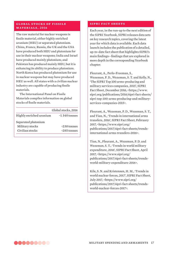#### **GLOBAL STOCKS OF FISSILE materials, 2016**

The raw material for nuclear weapons is fissile material, either highly enriched uranium (HEU) or separated plutonium. China, France, Russia, the UK and the USA have produced both HEU and plutonium for use in their nuclear weapons; India and Israel have produced mainly plutonium; and Pakistan has produced mainly HEU, but it is enhancing its ability to produce plutonium. North Korea has produced plutonium for use in nuclear weapons but may have produced HEU as well. All states with a civilian nuclear industry are capable of producing fissile materials.

The International Panel on Fissile Materials compiles information on global stocks of fissile materials.

|                         | Global stocks, 2016 |
|-------------------------|---------------------|
| Highly enriched uranium | $~1340$ tonnes      |
| Separated plutonium     |                     |
| Military stocks         | $~230$ tonnes       |
| Civilian stocks         | $~285$ tonnes       |

#### **SIPRI FACT SHEETS**

Each year, in the run-up to the next edition of the SIPRI Yearbook, SIPRI releases data sets on key research topics, covering the latest year for which data is available. Each data launch includes the publication of a detailed, up-to-date fact sheet that highlights SIPRI's main findings—findings that are explored in more depth in the corresponding Yearbook chapter.

Fleurant, A., Perlo-Freeman, S.,

Wezeman, P. D., Wezeman, S. T. and Kelly, N., 'The SIPRI Top 100 arms-producing and military services companies, 2015', SIPRI Fact Sheet, December 2016, <https://www. sipri.org/publications/2016/sipri-fact-sheets/ sipri-top-100-arms-producing-and-militaryservices-companies-2015>.

Fleurant, A., Wezeman, P. D., Wezeman, S. T., and Tian, N., 'Trends in international arms transfers, 2016', SIPRI Fact Sheet, February 2017, <https://www.sipri.org/ publications/2017/sipri-fact-sheets/trendsinternational-arms-transfers-2016>.

Tian, N., Fleurant, A., Wezeman, P. D. and Wezeman, S. T., 'Trends in world military expenditure, 2016', SIPRI Fact Sheet, April 2017, <https://www.sipri.org/ publications/2017/sipri-fact-sheets/trendsworld-military-expenditure-2016>.

Kile, S. N. and Kristensen, H. M., 'Trends in world nuclear forces, 2017', SIPRI Fact Sheet, July 2017, <https://www.sipri.org/ publications/2017/sipri-fact-sheets/trendsworld-nuclear-forces-2017>.

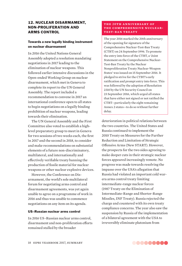# 12. NUCLEAR DISARMAMENT, NON-PROLIFERATION AND ARMS CONTROL

# Towards a new legally binding instrument on nuclear disarmament

In 2016 the United Nations General Assembly adopted a resolution mandating negotiations in 2017 leading to the elimination of nuclear weapons. This followed earlier intensive discussions in the Open-ended Working Group on nuclear disarmament, which met in Geneva to complete its report to the UN General Assembly. The report included a recommendation to convene in 2017 an international conference open to all states to begin negotiations on a legally binding prohibition of nuclear weapons, leading towards their elimination.

The UN General Assembly and the First Committee also voted to establish a highlevel preparatory group to meet in Geneva for two sessions of two weeks each, the first in 2017 and the second in 2018, to consider and make recommendations on substantial elements of a future non-discriminatory, multilateral, and internationally and effectively verifiable treaty banning the production of fissile material for nuclear weapons or other nuclear explosive devices.

However, the Conference on Disarmament, the world's sole multilateral forum for negotiating arms control and disarmament agreements, was yet again unable to agree on a programme of work in 2016 and thus was unable to commence negotiations on any item on its agenda.

#### US–Russian nuclear arms control

In 2016 US–Russian nuclear arms control, disarmament and non-proliferation efforts remained stalled by the broader

#### **the 2 0t h a n n i v e r s a ry of the comprehensive nucleartest-ban treaty**

The year 2016 marked the 20th anniversary of the opening for signature of the Comprehensive Nuclear-Test-Ban Treaty (CTBT) on 24 September 1996. To promote the entry into force of the CTBT, a 'Joint Statement on the Comprehensive Nuclear-Test-Ban Treaty by the Nuclear Nonproliferation Treaty Nuclear-Weapon States' was issued on 15 September 2016. It pledged to strive for the CTBT's early ratification and prompt entry into force. This was followed by the adoption of Resolution 2310 by the UN Security Council on 23 September 2016, which urged all states that have either not signed or not ratified the CTBT—particularly the eight remaining Annex 2 states—to do so without further delay.

deterioration in political relations between the two countries. The United States and Russia continued to implement the 2010 Treaty on Measures for the Further Reduction and Limitation of Strategic Offensive Arms (New START). However, the prospects for the two sides agreeing to make deeper cuts in their strategic nuclear forces appeared increasingly remote. No progress was made towards resolving the impasse over the USA's allegation that Russia had violated an important cold warera arms control treaty limiting intermediate-range nuclear forces (1987 Treaty on the Elimination of Intermediate-Range and Shorter-Range Missiles, INF Treaty). Russia rejected the charge and countered with its own treaty compliance concerns. The year also saw the suspension by Russia of the implementation of a bilateral agreement with the USA to irreversibly eliminate plutonium from

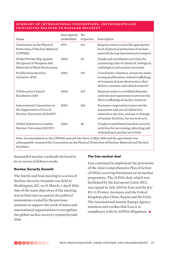#### **su m m a ry of i n t e r n at ion a l c on v e n t ions , i nst ru m e n ts a n d initiatives related to nuclear security**

| Name                                                                                     | Year signed/<br>established | No.<br>of parties | Description                                                                                                                                                            |
|------------------------------------------------------------------------------------------|-----------------------------|-------------------|------------------------------------------------------------------------------------------------------------------------------------------------------------------------|
| Convention on the Physical<br>Protection of Nuclear Material<br>(CPPNM)                  | 1979                        | 153               | Requires states to provide appropriate<br>level of physical protection of nuclear<br>material during international transport                                           |
| Global Partnership against<br>the Spread of Weapons and<br>Materials of Mass Destruction | 2002                        | 29                | Funds and coordinates activities for<br>countering risks of chemical, biological,<br>radiological and nuclear terrorism                                                |
| Proliferation Security<br>Initiative (PSI)                                               | 2003                        | 107               | Coordinates voluntary actions by states<br>to stop proliferation-related trafficking<br>of weapons of mass destruction, their<br>delivery systems and related material |
| UN Security Council<br>Resolution 1540                                                   | 2004                        | 193               | Requires states to establish domestic<br>controls and regulations to prevent the<br>illicit trafficking of nuclear material                                            |
| International Convention on<br>the Suppression of Acts of<br>Nuclear Terrorism (ICSANT)  | 2005                        | 106               | Promotes cooperation to prevent the<br>possession and use of radioactive<br>material or devices, and use or damage<br>of nuclear facilities, for terrorist acts        |
| Global Initiative to Combat<br>Nuclear Terrorism (GICNT)                                 | 2006                        | 86                | Conducts multilateral nuclear security<br>activities for preventing, detecting and<br>responding to nuclear terrorism                                                  |

*Note*: An amendment to the CPPNM entered into force in May 2016 and the agreement was subsequently renamed the Convention on the Physical Protection of Nuclear Material and Nuclear Facilities.

dismantled nuclear warheads declared to be in excess of defence needs.

#### Nuclear Security Summit

The fourth and final meeting in a series of Nuclear Security Summits was held in Washington, DC, on 31 March–1 April 2016. One of the main objectives of the meeting was to find ways to sustain the political momentum created by the previous summits to support the work of states and international organizations to strengthen the global nuclear security system beyond 2016.

#### The Iran nuclear deal

Iran continued to implement the provisions of the Joint Comprehensive Plan of Action (JCPOA) covering limitations on its nuclear programme. The JCPOA deal, which was facilitated by the European Union (EU), was signed in July 2015 by Iran and the E3/ EU+3 (France, Germany and the United Kingdom plus China, Russia and the USA). The International Atomic Energy Agency monitors and verifies that Iran is in compliance with its JCPOA obligations. •

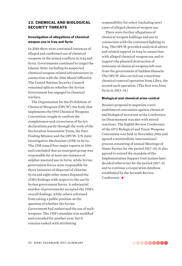# 13. CHEMICAL AND BIOLOGICAL SECURITY THREATS

#### Investigation of allegations of chemical weapon use in Iraq and Syria

In 2016 there were continued instances of alleged and confirmed use of chemical weapons in the armed conflicts in Iraq and Syria. Governments continued to target the Islamic State, including its suspected chemical weapon-related infrastructure in connection with the 2016 Mosul Offensive. The United Nations Security Council remained split on whether the Syrian Government has engaged in chemical warfare.

The Organisation for the Prohibition of Chemical Weapons (OPCW), the body that implements the 1993 Chemical Weapons Convention, sought to confirm the completeness and correctness of Syria's declarations partly through the work of the Declaration Assessment Team, the Fact-Finding Mission and the OPCW–UN Joint Investigative Mechanism (JIM) in Syria. The JIM issued four major reports in 2016 and concluded that an insurgent group was responsible for at least one instance of sulphur mustard use in Syria, while Syrian government forces were responsible for three instances of dispersal of chlorine. Syria and eight other states disputed the JIM's findings with respect to the use by Syrian government forces. A substantial number of governments accepted the JIM's overall findings, while others refrained from taking a public position on the question of whether the Syrian Government had authorized the use of such weapons. The JIM's mandate was modified and extended for another year, but it remains tasked with attributing

responsibility for select (including new) cases of alleged chemical weapon use.

There were further allegations of chemical weapon holdings and use in connection with the continued fighting in Iraq. The OPCW provided analytical advice and related support to Iraq in connection with alleged chemical weapon use and to support the planned destruction of remnants of chemical weapons left over from the government of Saddam Hussein. The OPCW also carried out a maritime chemical removal operation from Libya, the second such operation. (The first was from Syria in 2013–14.)

#### Biological and chemical arms control

Russia's proposal to negotiate a new multilateral convention against chemical and biological terrorism at the Conference on Disarmament was met with mixed reactions. The Eighth Review Conference of the 1972 Biological and Toxin Weapons Convention was held in November 2016 and agreed a minimalistic intersessional process consisting of annual Meetings of States Parties for the period 2017–20. It also agreed to extend the mandate of the Implementation Support Unit (unless later decided otherwise) for the period 2017–21 and to continue a cooperation database established by the Seventh Review Conference.  $\bullet$ 

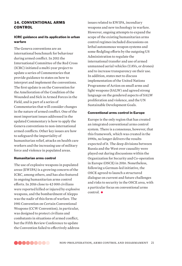# 14. CONVENTIONAL ARMS **CONTROL**

# ICRC guidance and its application in urban warfare

The Geneva conventions are an international benchmark for behaviour during armed conflict. In 2011 the International Committee of the Red Cross (ICRC) initiated a multi-year project to update a series of Commentaries that provide guidance to states on how to interpret and implement the conventions. The first update is on the Convention for the Amelioration of the Condition of the Wounded and Sick in Armed Forces in the Field, and is part of a series of Commentaries that will consider changes in the nature of armed conflict. One of the most important issues addressed in the updated Commentary is how to apply the Geneva conventions to non-international armed conflicts. Other key issues are how to safeguard the impartiality of humanitarian relief, attacks on health care workers and the increasing use of military force and violence in populated areas.

#### Humanitarian arms control

The use of explosive weapons in populated areas (EWIPA) is a growing concern of the ICRC, among others, and has also featured in ongoing humanitarian arms control efforts. In 2016 close to 42 000 civilians were reported killed or injured by explosive weapons, and the bombardment of Aleppo was the nadir of this form of warfare. The 1981 Convention on Certain Conventional Weapons (CCW Convention), in particular, was designed to protect civilians and combatants in situations of armed conflict, but the Fifth Review Conference to update the Convention failed to effectively address

issues related to EWIPA, incendiary weapons and new technology in warfare. However, ongoing attempts to expand the scope of the existing humanitarian arms control regimes included discussions on lethal autonomous weapon systems and some fledgling efforts by the outgoing US Administration to regulate the international transfer and use of armed unmanned aerial vehicles (UAVs, or drones) and to increase transparency on their use. In addition, states met to discuss implementation of the United Nations Programme of Action on small arms and light weapons (SALW) and agreed strong language on the gendered aspects of SALW proliferation and violence, and the UN Sustainable Development Goals.

#### Conventional arms control in Europe

Europe is the only region that has created an integrated conventional arms control system. There is a consensus, however, that this framework, which was created in the 1990s, no longer delivers the results expected of it. The deep divisions between Russia and the West over causality were played out during discussions within the Organization for Security and Co-operation in Europe (OSCE) in 2016. Nonetheless, following a German-led initiative, the OSCE agreed to launch a structured dialogue on current and future challenges and risks to security in the OSCE area, with a particular focus on conventional arms control. •

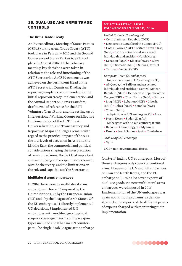# 15. DUAL-USE AND ARMS TRADE CONTROLS

#### The Arms Trade Treaty

An Extraordinary Meeting of States Parties (CSP1.5) to the Arms Trade Treaty (ATT) took place in February 2016 and the Second Conference of States Parties (CSP2) took place in August 2016. At the February meeting, key decisions were taken in relation to the role and functioning of the ATT Secretariat. At CSP2 consensus was achieved on the permanent Head of the ATT Secretariat, Dumisani Dladla; the reporting templates recommended for the initial report on treaty implementation and the Annual Report on Arms Transfers; draft terms of reference for the ATT Voluntary Trust Fund; and the setting up of Intersessional Working Groups on Effective Implementation of the ATT, Treaty Universalization, and Transparency and Reporting. Major challenges remain with regard to the practical impact of the ATT: the low levels of accession in Asia and the Middle East; the commercial and political considerations shaping the interpretation of treaty provisions; the fact that important arms-supplying and recipient states remain outside the treaty; and the limitations on the role and capacities of the Secretariat.

#### Multilateral arms embargoes

In 2016 there were 38 multilateral arms embargoes in force: 15 imposed by the United Nations, 22 by the European Union (EU) and 1 by the League of Arab States. Of the EU embargoes, 11 directly implemented UN decisions, 3 implemented UN embargoes with modified geographical scope or coverage in terms of the weapon types included and 8 had no UN counterpart. The single Arab League arms embargo

#### **m u lt i l at e r a l a r m s embargoes in force, 2016**

*United Nations (15 embargoes)*

- Central African Republic (NGF)
- Democratic Republic of the Congo (NGF) • Côte d'Ivoire (NGF) • Eritrea • Iran • Iraq (NGF) • ISIL, al-Qaeda and associated individuals and entities • North Korea • Lebanon (NGF) • Liberia (NGF) • Libya (NGF) • Somalia (NGF) • Sudan (Darfur) • Taliban • Yemen (NGF)

*European Union (22 embargoes)* Implementations of UN embargoes (11): • Al-Qaeda, the Taliban and associated individuals and entities • Central African Republic (NGF) • Democratic Republic of the Congo (NGF) • Côte d'Ivoire (NGF) • Eritrea • Iraq (NGF) • Lebanon (NGF) • Liberia (NGF) • Libya (NGF) • Somalia (NGF) • Yemen (NGF) Adaptations of UN embargoes (3): • Iran • North Korea • Sudan (Darfur) Embargoes with no UN counterpart (8): • Belarus • China • Egypt • Myanmar • Russia • South Sudan • Syria • Zimbabwe *Arab League (1 embargo)*

• Syria

NGF = non-governmental forces.

(on Syria) had no UN counterpart. Most of these embargoes only cover conventional arms. However, the UN and EU embargoes on Iran and North Korea, and the EU embargo on Russia also cover exports of dual-use goods. No new multilateral arms embargoes were imposed in 2016. Implementation of the UN embargoes was again not without problems, as demonstrated by the reports of the different panels of experts charged with monitoring their implementation.

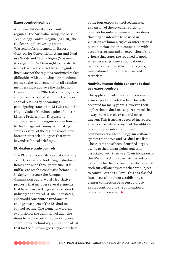#### Export control regimes

All the multilateral export control regimes—the Australia Group, the Missile Technology Control Regime (MTCR), the Nuclear Suppliers Group and the Wassenaar Arrangement on Export Controls for Conventional Arms and Dualuse Goods and Technologies (Wassenaar Arrangement, WA)—sought to update their respective trade control lists and guidelines. Most of the regimes continued to face difficulties with admitting new members, owing to the requirement that all existing members must approve the application. However, in June 2016 India finally got one step closer to its goal of joining the export control regimes by becoming a participating state in the MTCR and in The Hague Code of Conduct against Ballistic Missile Proliferation. Discussions continued in all the regimes about how to better engage with non-participating states. Several of the regimes conducted broader outreach dialogues that went beyond technical briefings.

#### EU dual-use trade controls

The EU's revision of its Regulation on the export, transit and brokering of dual-use items continued throughout 2016. It is unlikely to reach a conclusion before 2018. In September 2016 the European Commission put forward a legislative proposal that includes several elements that have provoked negative reactions from industry and several EU member states, and would constitute a fundamental change to aspects of the EU dual-use control regime. The elements were: an expansion of the definition of dual-use items to include certain types of cybersurveillance technology; an EU control list that for the first time goes beyond the lists

of the four export control regimes; an expansion of the so-called catch-all controls for unlisted items to cover items that may be intended to be used in violations of human rights or international humanitarian law or in connection with acts of terrorism; and an expansion of the criteria that states are required to apply when assessing licence applications to include issues related to human rights, international humanitarian law and terrorism.

### Applying human rights concerns to dualuse export controls

The application of human rights norms to arms export controls has been broadly accepted for many years. However, their application to dual-use export controls has always been less clear-cut and more uneven. This issue has received increased attention largely as a result of the addition of a number of information and communications technology surveillance systems to the WA and EU dual-use lists. These items have been identified largely owing to the human rights concerns associated with their use. Their inclusion in the WA and EU dual-use lists has led to calls for a further expansion in the range of such surveillance systems that are subject to control. At the EU level, this has also fed into discussions about establishing a clearer connection between dual-use export controls and the application of human rights norms. •

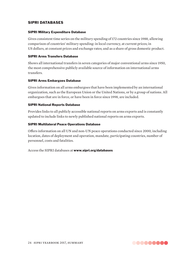# SIPRI DATABASES

#### SIPRI Military Expenditure Database

Gives consistent time series on the military spending of 172 countries since 1988, allowing comparison of countries' military spending: in local currency, at current prices; in US dollars, at constant prices and exchange rates; and as a share of gross domestic product.

#### SIPRI Arms Transfers Database

Shows all international transfers in seven categories of major conventional arms since 1950, the most comprehensive publicly available source of information on international arms transfers.

#### SIPRI Arms Embargoes Database

Gives information on all arms embargoes that have been implemented by an international organization, such as the European Union or the United Nations, or by a group of nations. All embargoes that are in force, or have been in force since 1998, are included.

#### SIPRI National Reports Database

Provides links to all publicly accessible national reports on arms exports and is constantly updated to include links to newly published national reports on arms exports.

#### SIPRI Multilateral Peace Operations Database

Offers information on all UN and non-UN peace operations conducted since 2000, including location, dates of deployment and operation, mandate, participating countries, number of personnel, costs and fatalities.

Access the SIPRI databases at www.sipri.org/databases

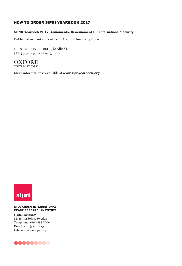# HOW TO ORDER SIPRI YEARBOOK 2017

#### SIPRI Yearbook 2017: Armaments, Disarmament and International Security

Published in print and online by Oxford University Press

ISBN 978-0-19-881180-0, hardback ISBN 978-0-19-184859-9, online

**OXFORD** 

More information is available at www.sipriyearbook.org



#### **STOCKHOLM INTERNATIONAL PEACE RESEARCH INSTITUTE**

Signalistgatan 9 SE-169 72 Solna, Sweden Telephone: +46 8 655 97 00 Email: sipri@sipri.org Internet: www.sipri.org